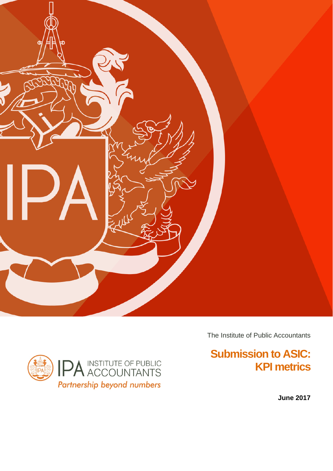



The Institute of Public Accountants

# **Submission to ASIC: KPI metrics**

**June 2017**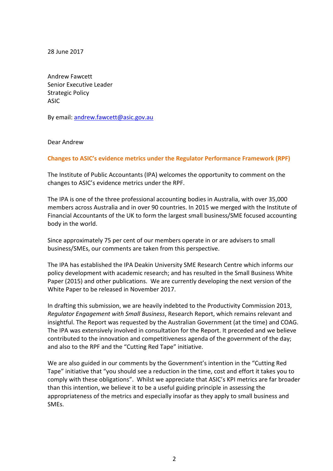28 June 2017

Andrew Fawcett Senior Executive Leader Strategic Policy ASIC

By email: [andrew.fawcett@asic.gov.au](mailto:andrew.fawcett@asic.gov.au)

Dear Andrew

## **Changes to ASIC's evidence metrics under the Regulator Performance Framework (RPF)**

The Institute of Public Accountants (IPA) welcomes the opportunity to comment on the changes to ASIC's evidence metrics under the RPF.

The IPA is one of the three professional accounting bodies in Australia, with over 35,000 members across Australia and in over 90 countries. In 2015 we merged with the Institute of Financial Accountants of the UK to form the largest small business/SME focused accounting body in the world.

Since approximately 75 per cent of our members operate in or are advisers to small business/SMEs, our comments are taken from this perspective.

The IPA has established the IPA Deakin University SME Research Centre which informs our policy development with academic research; and has resulted in the Small Business White Paper (2015) and other publications. We are currently developing the next version of the White Paper to be released in November 2017.

In drafting this submission, we are heavily indebted to the Productivity Commission 2013, *Regulator Engagement with Small Business*, Research Report, which remains relevant and insightful. The Report was requested by the Australian Government (at the time) and COAG. The IPA was extensively involved in consultation for the Report. It preceded and we believe contributed to the innovation and competitiveness agenda of the government of the day; and also to the RPF and the "Cutting Red Tape" initiative.

We are also guided in our comments by the Government's intention in the "Cutting Red Tape" initiative that "you should see a reduction in the time, cost and effort it takes you to comply with these obligations". Whilst we appreciate that ASIC's KPI metrics are far broader than this intention, we believe it to be a useful guiding principle in assessing the appropriateness of the metrics and especially insofar as they apply to small business and SMEs.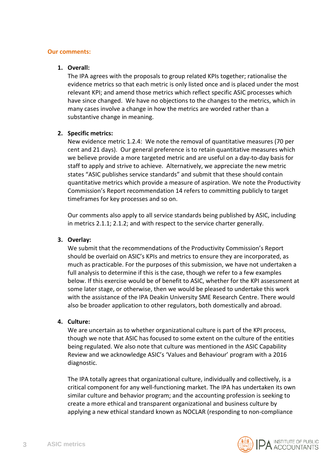#### **Our comments:**

### **1. Overall:**

The IPA agrees with the proposals to group related KPIs together; rationalise the evidence metrics so that each metric is only listed once and is placed under the most relevant KPI; and amend those metrics which reflect specific ASIC processes which have since changed. We have no objections to the changes to the metrics, which in many cases involve a change in how the metrics are worded rather than a substantive change in meaning.

#### **2. Specific metrics:**

New evidence metric 1.2.4: We note the removal of quantitative measures (70 per cent and 21 days). Our general preference is to retain quantitative measures which we believe provide a more targeted metric and are useful on a day-to-day basis for staff to apply and strive to achieve. Alternatively, we appreciate the new metric states "ASIC publishes service standards" and submit that these should contain quantitative metrics which provide a measure of aspiration. We note the Productivity Commission's Report recommendation 14 refers to committing publicly to target timeframes for key processes and so on.

Our comments also apply to all service standards being published by ASIC, including in metrics 2.1.1; 2.1.2; and with respect to the service charter generally.

## **3. Overlay:**

We submit that the recommendations of the Productivity Commission's Report should be overlaid on ASIC's KPIs and metrics to ensure they are incorporated, as much as practicable. For the purposes of this submission, we have not undertaken a full analysis to determine if this is the case, though we refer to a few examples below. If this exercise would be of benefit to ASIC, whether for the KPI assessment at some later stage, or otherwise, then we would be pleased to undertake this work with the assistance of the IPA Deakin University SME Research Centre. There would also be broader application to other regulators, both domestically and abroad.

#### **4. Culture:**

We are uncertain as to whether organizational culture is part of the KPI process, though we note that ASIC has focused to some extent on the culture of the entities being regulated. We also note that culture was mentioned in the ASIC Capability Review and we acknowledge ASIC's 'Values and Behaviour' program with a 2016 diagnostic.

The IPA totally agrees that organizational culture, individually and collectively, is a critical component for any well-functioning market. The IPA has undertaken its own similar culture and behavior program; and the accounting profession is seeking to create a more ethical and transparent organizational and business culture by applying a new ethical standard known as NOCLAR (responding to non-compliance

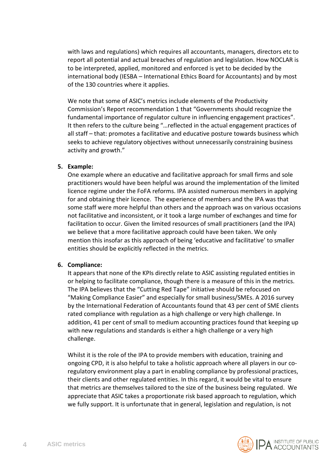with laws and regulations) which requires all accountants, managers, directors etc to report all potential and actual breaches of regulation and legislation. How NOCLAR is to be interpreted, applied, monitored and enforced is yet to be decided by the international body (IESBA – International Ethics Board for Accountants) and by most of the 130 countries where it applies.

We note that some of ASIC's metrics include elements of the Productivity Commission's Report recommendation 1 that "Governments should recognize the fundamental importance of regulator culture in influencing engagement practices". It then refers to the culture being "…reflected in the actual engagement practices of all staff – that: promotes a facilitative and educative posture towards business which seeks to achieve regulatory objectives without unnecessarily constraining business activity and growth."

# **5. Example:**

One example where an educative and facilitative approach for small firms and sole practitioners would have been helpful was around the implementation of the limited licence regime under the FoFA reforms. IPA assisted numerous members in applying for and obtaining their licence. The experience of members and the IPA was that some staff were more helpful than others and the approach was on various occasions not facilitative and inconsistent, or it took a large number of exchanges and time for facilitation to occur. Given the limited resources of small practitioners (and the IPA) we believe that a more facilitative approach could have been taken. We only mention this insofar as this approach of being 'educative and facilitative' to smaller entities should be explicitly reflected in the metrics.

## **6. Compliance:**

It appears that none of the KPIs directly relate to ASIC assisting regulated entities in or helping to facilitate compliance, though there is a measure of this in the metrics. The IPA believes that the "Cutting Red Tape" initiative should be refocused on "Making Compliance Easier" and especially for small business/SMEs. A 2016 survey by the International Federation of Accountants found that 43 per cent of SME clients rated compliance with regulation as a high challenge or very high challenge. In addition, 41 per cent of small to medium accounting practices found that keeping up with new regulations and standards is either a high challenge or a very high challenge.

Whilst it is the role of the IPA to provide members with education, training and ongoing CPD, it is also helpful to take a holistic approach where all players in our coregulatory environment play a part in enabling compliance by professional practices, their clients and other regulated entities. In this regard, it would be vital to ensure that metrics are themselves tailored to the size of the business being regulated. We appreciate that ASIC takes a proportionate risk based approach to regulation, which we fully support. It is unfortunate that in general, legislation and regulation, is not

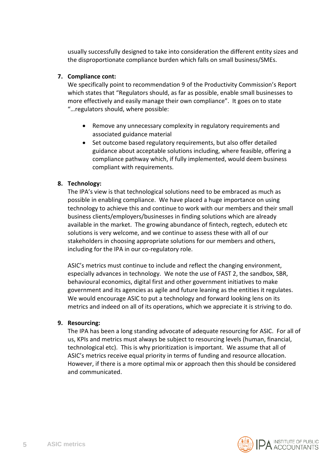usually successfully designed to take into consideration the different entity sizes and the disproportionate compliance burden which falls on small business/SMEs.

# **7. Compliance cont:**

We specifically point to recommendation 9 of the Productivity Commission's Report which states that "Regulators should, as far as possible, enable small businesses to more effectively and easily manage their own compliance". It goes on to state "…regulators should, where possible:

- Remove any unnecessary complexity in regulatory requirements and associated guidance material
- Set outcome based regulatory requirements, but also offer detailed guidance about acceptable solutions including, where feasible, offering a compliance pathway which, if fully implemented, would deem business compliant with requirements.

# **8. Technology:**

The IPA's view is that technological solutions need to be embraced as much as possible in enabling compliance. We have placed a huge importance on using technology to achieve this and continue to work with our members and their small business clients/employers/businesses in finding solutions which are already available in the market. The growing abundance of fintech, regtech, edutech etc solutions is very welcome, and we continue to assess these with all of our stakeholders in choosing appropriate solutions for our members and others, including for the IPA in our co-regulatory role.

ASIC's metrics must continue to include and reflect the changing environment, especially advances in technology. We note the use of FAST 2, the sandbox, SBR, behavioural economics, digital first and other government initiatives to make government and its agencies as agile and future leaning as the entities it regulates. We would encourage ASIC to put a technology and forward looking lens on its metrics and indeed on all of its operations, which we appreciate it is striving to do.

## **9. Resourcing:**

The IPA has been a long standing advocate of adequate resourcing for ASIC. For all of us, KPIs and metrics must always be subject to resourcing levels (human, financial, technological etc). This is why prioritization is important. We assume that all of ASIC's metrics receive equal priority in terms of funding and resource allocation. However, if there is a more optimal mix or approach then this should be considered and communicated.